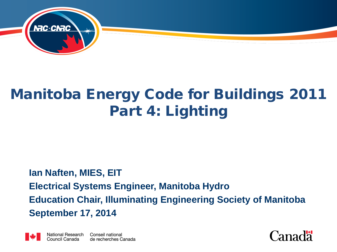

#### Manitoba Energy Code for Buildings 2011 Part 4: Lighting

#### **Ian Naften, MIES, EIT Electrical Systems Engineer, Manitoba Hydro Education Chair, Illuminating Engineering Society of Manitoba September 17, 2014**



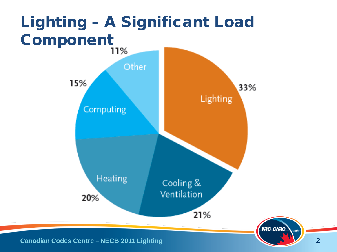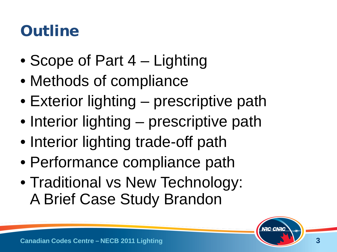#### **Outline**

- Scope of Part 4 Lighting
- Methods of compliance
- Exterior lighting prescriptive path
- Interior lighting prescriptive path
- Interior lighting trade-off path
- Performance compliance path
- Traditional vs New Technology: A Brief Case Study Brandon

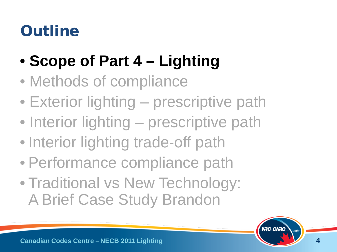### **Outline**

- **Scope of Part 4 – Lighting**
- Methods of compliance
- Exterior lighting prescriptive path
- Interior lighting prescriptive path
- Interior lighting trade-off path
- Performance compliance path
- Traditional vs New Technology: A Brief Case Study Brandon

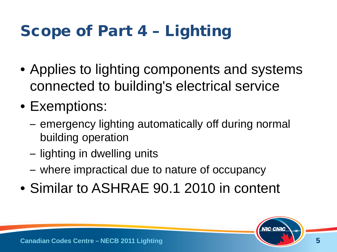# Scope of Part 4 – Lighting

- Applies to lighting components and systems connected to building's electrical service
- Exemptions:
	- emergency lighting automatically off during normal building operation
	- lighting in dwelling units
	- where impractical due to nature of occupancy
- Similar to ASHRAE 90.1 2010 in content

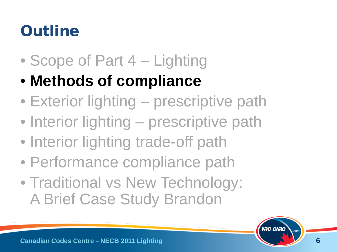### **Outline**

- Scope of Part 4 Lighting
- **Methods of compliance**
- Exterior lighting prescriptive path
- Interior lighting prescriptive path
- Interior lighting trade-off path
- Performance compliance path
- Traditional vs New Technology: A Brief Case Study Brandon

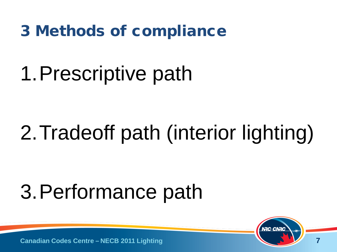3 Methods of compliance

# 1.Prescriptive path

# 2.Tradeoff path (interior lighting)

# 3.Performance path

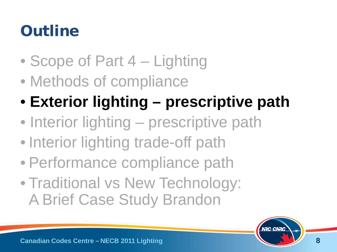### **Outline**

- Scope of Part 4 Lighting
- Methods of compliance
- **Exterior lighting – prescriptive path**
- Interior lighting prescriptive path
- Interior lighting trade-off path
- Performance compliance path
- Traditional vs New Technology: A Brief Case Study Brandon

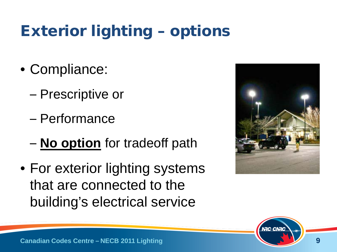# Exterior lighting – options

- Compliance:
	- Prescriptive or
	- Performance
	- **No option** for tradeoff path
- For exterior lighting systems that are connected to the building's electrical service



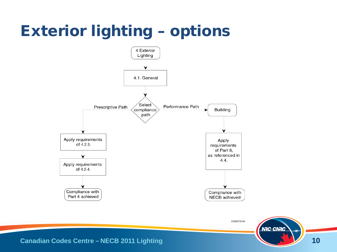# Exterior lighting – options



EG00751A

**NRC-CNRC** 

**Canadian Codes Centre – NECB 2011 Lighting**

**10**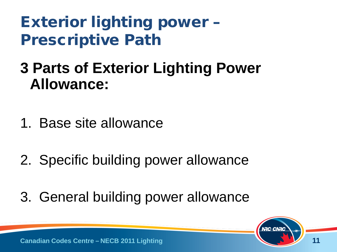- **3 Parts of Exterior Lighting Power Allowance:**
- 1. Base site allowance
- 2. Specific building power allowance
- 3. General building power allowance

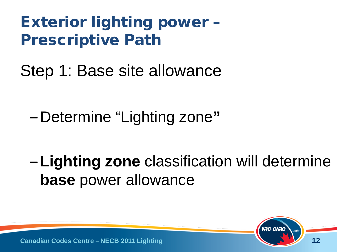Step 1: Base site allowance

– Determine "Lighting zone**"**

– **Lighting zone** classification will determine **base** power allowance

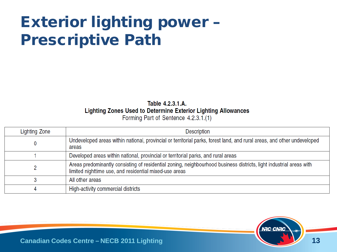Table 4.2.3.1.A. Lighting Zones Used to Determine Exterior Lighting Allowances Forming Part of Sentence 4.2.3.1.(1)

| Lighting Zone | <b>Description</b>                                                                                                                                                            |
|---------------|-------------------------------------------------------------------------------------------------------------------------------------------------------------------------------|
|               | Undeveloped areas within national, provincial or territorial parks, forest land, and rural areas, and other undeveloped<br>areas                                              |
|               | Developed areas within national, provincial or territorial parks, and rural areas                                                                                             |
|               | Areas predominantly consisting of residential zoning, neighbourhood business districts, light industrial areas with<br>limited nighttime use, and residential mixed-use areas |
|               | All other areas                                                                                                                                                               |
|               | High-activity commercial districts                                                                                                                                            |

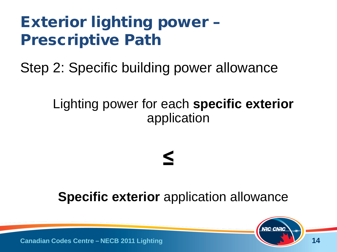Step 2: Specific building power allowance

#### Lighting power for each **specific exterior**  application

# **≤**

#### **Specific exterior** application allowance

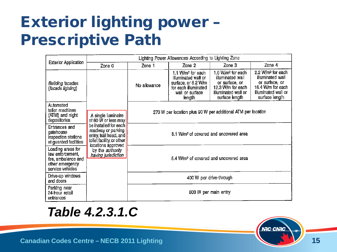|                                                                                                     | Lighting Power Allowances According to Lighting Zone                                               |                                                              |                                                                                                                                  |                                                                                                                         |                                                                                                                                   |
|-----------------------------------------------------------------------------------------------------|----------------------------------------------------------------------------------------------------|--------------------------------------------------------------|----------------------------------------------------------------------------------------------------------------------------------|-------------------------------------------------------------------------------------------------------------------------|-----------------------------------------------------------------------------------------------------------------------------------|
| <b>Exterior Application</b>                                                                         | Zone 0                                                                                             | Zone 1                                                       | Zone 2                                                                                                                           | Zone 3                                                                                                                  | Zone 4                                                                                                                            |
| <b>Building facades</b><br>(facade lighting)                                                        |                                                                                                    | No allowance                                                 | 1.1 W/m <sup>2</sup> for each<br>illuminated wall or<br>surface, or 8.2 W/m<br>for each illuminated<br>wall or surface<br>length | 1.6 $W/m2$ for each<br>illuminated wall<br>or surface, or<br>12.3 W/m for each<br>illuminated wall or<br>surface length | 2.2 W/m <sup>2</sup> for each<br>illuminated wall<br>or surface, or<br>16.4 W/m for each<br>illuminated wall or<br>surface length |
| Automated<br>teller machines<br>(ATM) and night<br>depositories                                     | A single luminaire<br>of 60 W or less may                                                          | 270 W per location plus 90 W per additional ATM per location |                                                                                                                                  |                                                                                                                         |                                                                                                                                   |
| Entrances and<br>gatehouse<br>inspection stations<br>at guarded facilities                          | be installed for each<br>roadway or parking<br>entry, trail head, and<br>toilet facility, or other |                                                              | 8.1 W/m <sup>2</sup> of covered and uncovered area                                                                               |                                                                                                                         |                                                                                                                                   |
| Loading areas for<br>law enforcement,<br>fire, ambulance and<br>other emergency<br>service vehicles | locations approved<br>by the <i>authority</i><br>having jurisdiction                               |                                                              | 5.4 W/m <sup>2</sup> of covered and uncovered area                                                                               |                                                                                                                         |                                                                                                                                   |
| Drive-up windows<br>and doors                                                                       |                                                                                                    | 400 W per drive-through                                      |                                                                                                                                  |                                                                                                                         |                                                                                                                                   |
| Parking near<br>24-hour retail<br>entrances                                                         |                                                                                                    | 800 W per main entry                                         |                                                                                                                                  |                                                                                                                         |                                                                                                                                   |

#### *Table 4.2.3.1.C*

**Canadian Codes Centre – NECB 2011 Lighting**

**NRC-CNRC**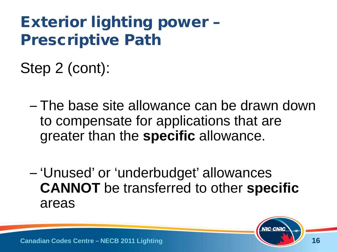Step 2 (cont):

- The base site allowance can be drawn down to compensate for applications that are greater than the **specific** allowance.
- 'Unused' or 'underbudget' allowances **CANNOT** be transferred to other **specific**  areas

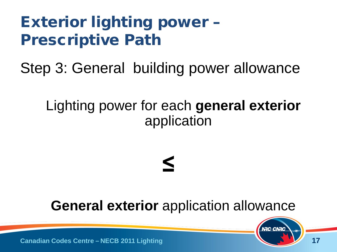Step 3: General building power allowance

#### Lighting power for each **general exterior**  application

# **≤**

#### **General exterior** application allowance

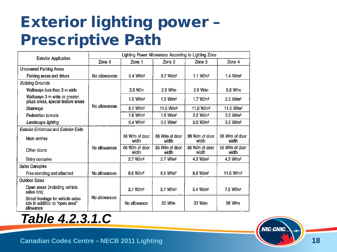|                                                                                   | Lighting Power Allowances According to Lighting Zone |                         |                         |                         |                         |
|-----------------------------------------------------------------------------------|------------------------------------------------------|-------------------------|-------------------------|-------------------------|-------------------------|
| <b>Exterior Application</b>                                                       | Zone 0                                               | Zone 1                  | Zone 2                  | Zone 3                  | Zone 4                  |
| <b>Uncovered Parking Areas</b>                                                    |                                                      |                         |                         |                         |                         |
| Parking areas and drives                                                          | No allowances                                        | 0.4 W/m <sup>2</sup>    | $0.7$ W/m <sup>2</sup>  | 1.1 $W/m2$              | 1.4 W/m <sup>2</sup>    |
| <b>Building Grounds</b>                                                           |                                                      |                         |                         |                         |                         |
| Walkways less than 3 m wide                                                       |                                                      | 2.3 W/m                 | 2.3 W/m                 | $2.6$ W/m               | $3.3$ W/m               |
| Walkways 3 m wide or greater,<br>plaza areas, special feature areas               |                                                      | 1.5 W/m <sup>2</sup>    | 1.5 W/m <sup>2</sup>    | 1.7 $W/m2$              | 2.2 W/m <sup>2</sup>    |
| Stairways                                                                         | No allowances                                        | 8.1 W/m <sup>2</sup>    | 11.0 W/m <sup>2</sup>   | 11.0 W/m <sup>2</sup>   | 11.0 W/m <sup>2</sup>   |
| Pedestrian tunnels                                                                |                                                      |                         | 1.6 W/m <sup>2</sup>    | 2.2 W/m <sup>2</sup>    | 3.2 W/m <sup>2</sup>    |
| Landscape lighting                                                                |                                                      | 0.4 W/m <sup>2</sup>    | 0.5 W/m <sup>2</sup>    | 0.5 W/m <sup>2</sup>    | 0.5 W/m <sup>2</sup>    |
| <b>Exterior Entrances and Exterior Exits</b>                                      |                                                      |                         |                         |                         |                         |
| Main entries                                                                      |                                                      | 66 W/m of door<br>width | 66 W/m of door<br>width | 98 W/m of door<br>width | 98 W/m of door<br>width |
| Other doors                                                                       | No allowances                                        | 66 W/m of door<br>width | 66 W/m of door<br>width | 66 W/m of door<br>width | 66 W/m of door<br>width |
| Entry canopies                                                                    |                                                      | 2.7 W/m <sup>2</sup>    | 2.7 W/m <sup>2</sup>    | 4.3 W/m <sup>2</sup>    | 4.3 $W/m2$              |
| Sales Canopies                                                                    |                                                      |                         |                         |                         |                         |
| Free-standing and attached                                                        | No allowances                                        | 6.5 W/m <sup>2</sup>    | 6.5 W/m <sup>2</sup>    | 8.6 W/m <sup>2</sup>    | 11.0 $W/m2$             |
| <b>Outdoor Sales</b>                                                              |                                                      |                         |                         |                         |                         |
| Open areas (including vehicle<br>sales lots)                                      | No allowances                                        | 2.7 W/m <sup>2</sup>    | 2.7 W/m <sup>2</sup>    | 5.4 W/m <sup>2</sup>    | 7.5 W/m <sup>2</sup>    |
| Street frontage for vehicle sales<br>lots in addition to "open area"<br>allowance |                                                      | No allowance            | 33 W/m                  | 33 W/m                  | 98 W/m                  |

*Table 4.2.3.1.C*

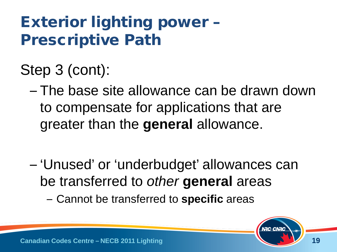Step 3 (cont):

- The base site allowance can be drawn down to compensate for applications that are greater than the **general** allowance.
- 'Unused' or 'underbudget' allowances can be transferred to *other* **general** areas
	- Cannot be transferred to **specific** areas

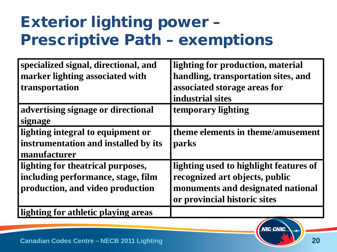#### Exterior lighting power – Prescriptive Path – exemptions

| specialized signal, directional, and | lighting for production, material      |
|--------------------------------------|----------------------------------------|
| marker lighting associated with      | handling, transportation sites, and    |
| transportation                       | associated storage areas for           |
|                                      | industrial sites                       |
| advertising signage or directional   | temporary lighting                     |
| signage                              |                                        |
| lighting integral to equipment or    | theme elements in theme/amusement      |
| instrumentation and installed by its | parks                                  |
| manufacturer                         |                                        |
| lighting for theatrical purposes,    | lighting used to highlight features of |
| including performance, stage, film   | recognized art objects, public         |
| production, and video production     | monuments and designated national      |
|                                      | or provincial historic sites           |
| lighting for athletic playing areas  |                                        |



**NRC-CNRC**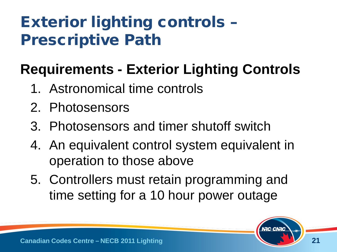### Exterior lighting controls – Prescriptive Path

#### **Requirements - Exterior Lighting Controls**

- 1. Astronomical time controls
- 2. Photosensors
- 3. Photosensors and timer shutoff switch
- 4. An equivalent control system equivalent in operation to those above
- 5. Controllers must retain programming and time setting for a 10 hour power outage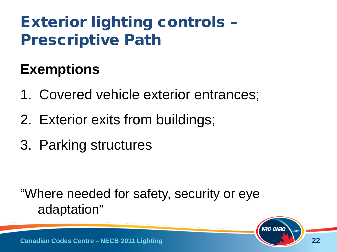### Exterior lighting controls – Prescriptive Path

#### **Exemptions**

- 1. Covered vehicle exterior entrances;
- 2. Exterior exits from buildings;
- 3. Parking structures

"Where needed for safety, security or eye adaptation"

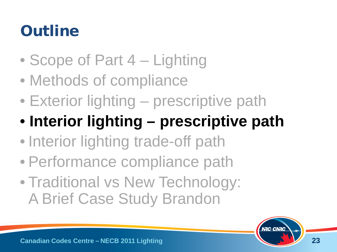## **Outline**

- Scope of Part 4 Lighting
- Methods of compliance
- Exterior lighting prescriptive path
- **Interior lighting – prescriptive path**
- Interior lighting trade-off path
- Performance compliance path
- Traditional vs New Technology: A Brief Case Study Brandon

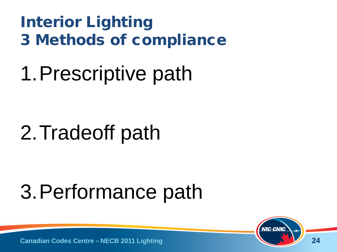#### Interior Lighting 3 Methods of compliance

# 1.Prescriptive path

# 2.Tradeoff path

# 3.Performance path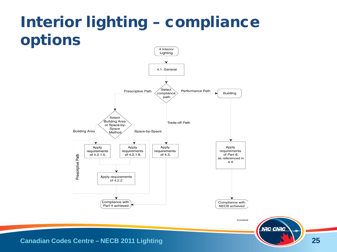# Interior lighting – compliance options



**Canadian Codes Centre – NECB 2011 Lighting**

**NRC-CNRC**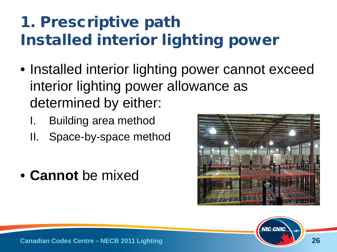- Installed interior lighting power cannot exceed interior lighting power allowance as determined by either:
	- Building area method
	- II. Space-by-space method
- **Cannot** be mixed



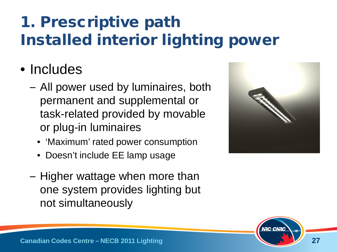#### • Includes

- All power used by luminaires, both permanent and supplemental or task-related provided by movable or plug-in luminaires
	- 'Maximum' rated power consumption
	- Doesn't include EE lamp usage
- Higher wattage when more than one system provides lighting but not simultaneously



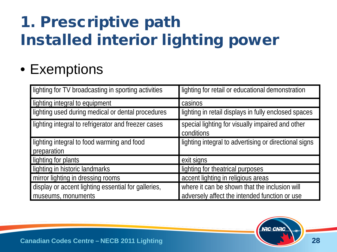#### • Exemptions

| lighting for TV broadcasting in sporting activities | lighting for retail or educational demonstration               |
|-----------------------------------------------------|----------------------------------------------------------------|
| lighting integral to equipment                      | casinos                                                        |
| lighting used during medical or dental procedures   | lighting in retail displays in fully enclosed spaces           |
| lighting integral to refrigerator and freezer cases | special lighting for visually impaired and other<br>conditions |
| lighting integral to food warming and food          | lighting integral to advertising or directional signs          |
| preparation                                         |                                                                |
| lighting for plants                                 | exit signs                                                     |
| lighting in historic landmarks                      | lighting for theatrical purposes                               |
| mirror lighting in dressing rooms                   | accent lighting in religious areas                             |
| display or accent lighting essential for galleries, | where it can be shown that the inclusion will                  |
| museums, monuments                                  | adversely affect the intended function or use                  |

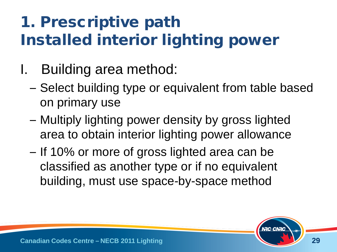- I. Building area method:
	- Select building type or equivalent from table based on primary use
	- Multiply lighting power density by gross lighted area to obtain interior lighting power allowance
	- If 10% or more of gross lighted area can be classified as another type or if no equivalent building, must use space-by-space method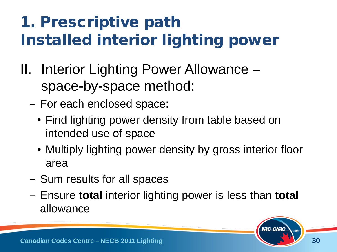- II. Interior Lighting Power Allowance space-by-space method:
	- For each enclosed space:
		- Find lighting power density from table based on intended use of space
		- Multiply lighting power density by gross interior floor area
	- Sum results for all spaces
	- Ensure **total** interior lighting power is less than **total** allowance

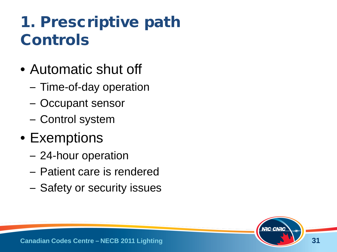### 1. Prescriptive path Controls

- Automatic shut off
	- Time-of-day operation
	- Occupant sensor
	- Control system
- Exemptions
	- 24-hour operation
	- Patient care is rendered
	- Safety or security issues

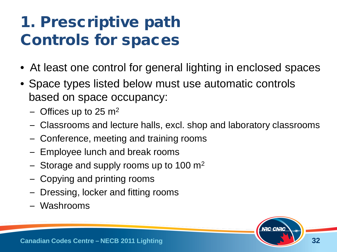### 1. Prescriptive path Controls for spaces

- At least one control for general lighting in enclosed spaces
- Space types listed below must use automatic controls based on space occupancy:
	- Offices up to 25  $m<sup>2</sup>$
	- Classrooms and lecture halls, excl. shop and laboratory classrooms
	- Conference, meeting and training rooms
	- Employee lunch and break rooms
	- Storage and supply rooms up to 100  $\mathrm{m}^2$
	- Copying and printing rooms
	- Dressing, locker and fitting rooms
	- Washrooms

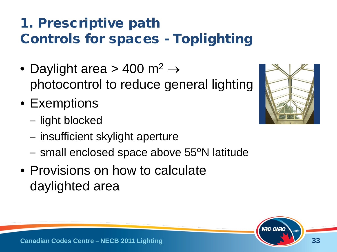#### 1. Prescriptive path Controls for spaces - Toplighting

- Daylight area > 400 m<sup>2</sup>  $\rightarrow$ photocontrol to reduce general lighting
- Exemptions
	- light blocked
	- insufficient skylight aperture
	- small enclosed space above 55<sup>o</sup>N latitude
- Provisions on how to calculate daylighted area



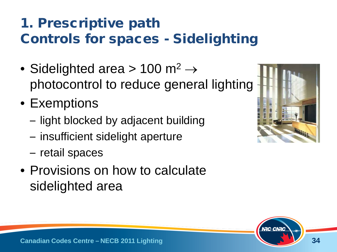#### 1. Prescriptive path Controls for spaces - Sidelighting

- Sidelighted area > 100 m<sup>2</sup>  $\rightarrow$ photocontrol to reduce general lighting
- Exemptions
	- light blocked by adjacent building
	- insufficient sidelight aperture
	- retail spaces
- Provisions on how to calculate sidelighted area



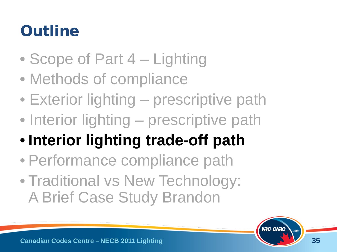## **Outline**

- Scope of Part 4 Lighting
- Methods of compliance
- Exterior lighting prescriptive path
- Interior lighting prescriptive path
- **Interior lighting trade-off path**
- Performance compliance path
- Traditional vs New Technology: A Brief Case Study Brandon

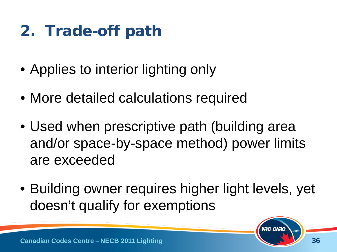- Applies to interior lighting only
- More detailed calculations required
- Used when prescriptive path (building area and/or space-by-space method) power limits are exceeded
- Building owner requires higher light levels, yet doesn't qualify for exemptions

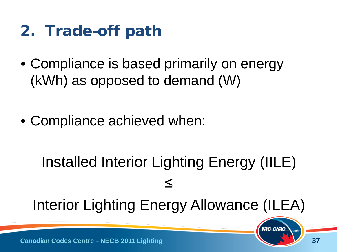- Compliance is based primarily on energy (kWh) as opposed to demand (W)
- Compliance achieved when:

# Installed Interior Lighting Energy (IILE) ≤

Interior Lighting Energy Allowance (ILEA)



**NRC-CNRC**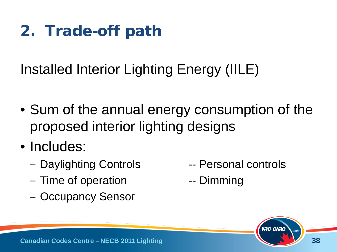Installed Interior Lighting Energy (IILE)

- Sum of the annual energy consumption of the proposed interior lighting designs
- Includes:
	- Daylighting Controls -- Personal controls
	- Time of operation The Summing
	- Occupancy Sensor
- 
- 

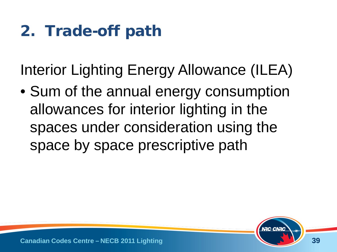Interior Lighting Energy Allowance (ILEA)

• Sum of the annual energy consumption allowances for interior lighting in the spaces under consideration using the space by space prescriptive path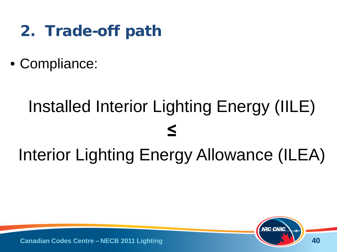- 2. Trade-off path
- Compliance:

# Installed Interior Lighting Energy (IILE) **≤** Interior Lighting Energy Allowance (ILEA)

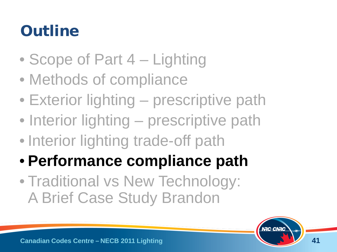### **Outline**

- Scope of Part 4 Lighting
- Methods of compliance
- Exterior lighting prescriptive path
- Interior lighting prescriptive path
- Interior lighting trade-off path
- **Performance compliance path**
- Traditional vs New Technology: A Brief Case Study Brandon

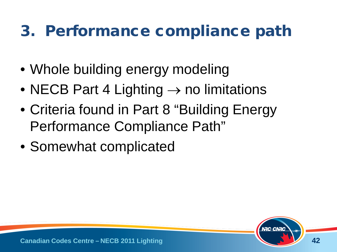#### 3. Performance compliance path

- Whole building energy modeling
- NECB Part 4 Lighting  $\rightarrow$  no limitations
- Criteria found in Part 8 "Building Energy Performance Compliance Path"
- Somewhat complicated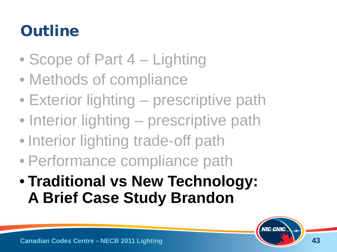## **Outline**

- Scope of Part 4 Lighting
- Methods of compliance
- Exterior lighting prescriptive path
- Interior lighting prescriptive path
- Interior lighting trade-off path
- Performance compliance path
- **Traditional vs New Technology: A Brief Case Study Brandon**

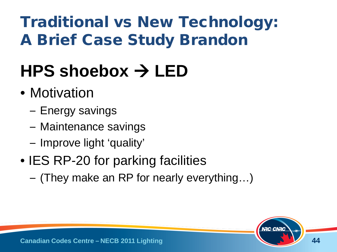# Traditional vs New Technology: A Brief Case Study Brandon

# **HPS shoebox LED**

- Motivation
	- Energy savings
	- Maintenance savings
	- Improve light 'quality'
- IES RP-20 for parking facilities
	- (They make an RP for nearly everything…)

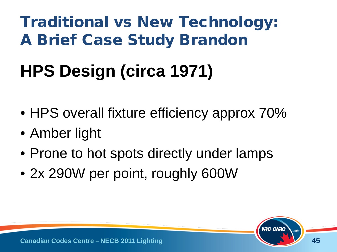## Traditional vs New Technology: A Brief Case Study Brandon

# **HPS Design (circa 1971)**

- HPS overall fixture efficiency approx 70%
- Amber light
- Prone to hot spots directly under lamps
- 2x 290W per point, roughly 600W

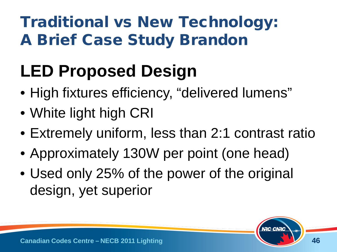# Traditional vs New Technology: A Brief Case Study Brandon

# **LED Proposed Design**

- High fixtures efficiency, "delivered lumens"
- White light high CRI
- Extremely uniform, less than 2:1 contrast ratio
- Approximately 130W per point (one head)
- Used only 25% of the power of the original design, yet superior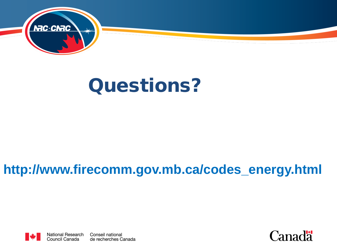

# Questions?

#### **http://www.firecomm.gov.mb.ca/codes\_energy.html**